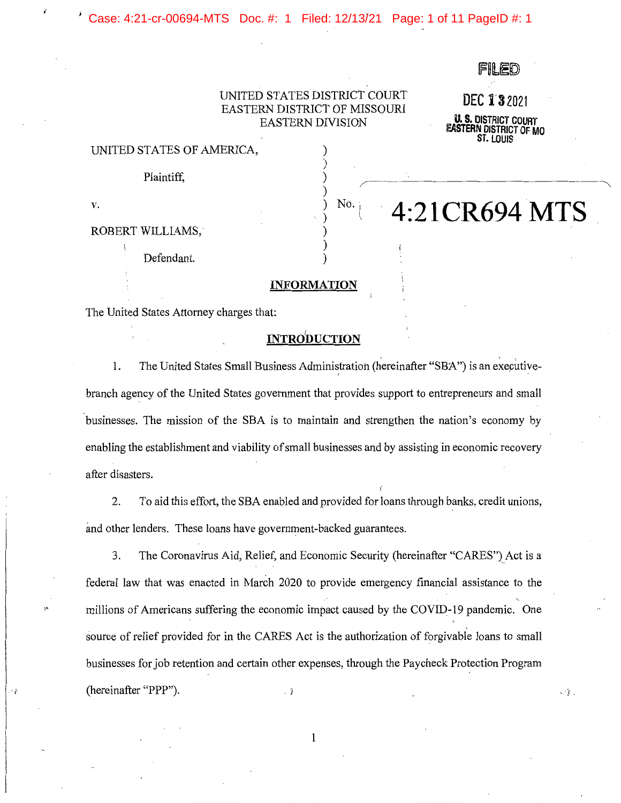Case: 4:21-cr-00694-MTS Doc. #: 1 Filed: 12/13/21 Page: 1 of 11 PageID #: 1

## UNITED STATES DISTRICT COURT EASTERN DISTRICT OF MISSOURI EASTERN DIVISION

) ) )

) ) )

DEC 132021

**U. S. DISTRICT COURT EASTERN DISTRICT OF MO ST. LOUIS** 

 $\cdot$  's' .

**No. 4:21CR694 MTS** 

#### UNITED STATES OF AMERICA, )

Plaintiff,

**v.**  $\left(\begin{array}{cc} 0 & 0 \\ 0 & 0 \end{array}\right)$  No. i

*i* 

### ROBERT WILLIAMS,·

Defendant.

## **INFORMATION**

The United States Attorney charges that:

## **INTRdDUCTION**

1. The United States Small Business Administration (hereinafter "SBA") is an executivebranch agency of the United States government that provides support to entrepreneurs and small businesses. The mission of the SBA is to maintain and strengthen the nation's economy by enabling the establishment and viability of small businesses and by assisting in economic recovery after disasters.

2. To aid this effort, the SBA enabled and provided for loans through banks, credit unions, and other lenders. These loans have government-backed guarantees.

3. The Coronavirus Aid, Relief, and Economic Security (hereinafter "CARES") Act is a federal law that was enacted in March 2020 to provide emergency financial assistance to the millions of Americans suffering the economic impact caused by the COVID-19 pandemic. One source of relief provided for in the CARES Act is the authorization of forgivable loans to small businesses for job retention and certain other expenses, through the Paycheck Protection Program (hereinafter "PPP").  $\cdot$  }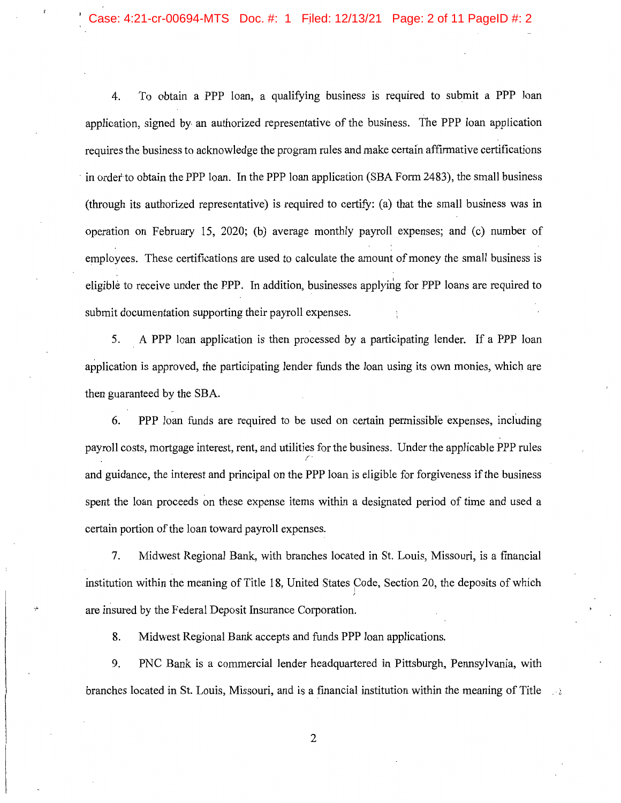# Case: 4:21-cr-00694-MTS Doc. #: 1 Filed: 12/13/21 Page: 2 of 11 PageID #: 2

4. To obtain a PPP loan, a qualifying business is required to submit a PPP loan application, signed by an authorized representative of the business. The PPP loan application requires the business to acknowledge the program rules and make certain affirmative certifications in order to obtain the PPP loan. In the PPP loan application (SBA Form 2483), the small business (through its authorized representative) is required to certify: (a) that the small business was in operation on February 15, 2020; (b) average monthly payroll expenses; and (c) number of employees. These certifications are used to calculate the amount of money the small business is eligible to receive under the PPP. In addition, businesses applying for PPP loans are required to submit documentation supporting their payroll expenses.

5. . A PPP loan application is then processed by a participating lender. If a PPP loan application is approved, the participating lender funds the loan using its own monies, which are then guaranteed by the SBA.

6. PPP loan funds are required to be used on certain permissible expenses, including payroll costs, mortgage interest, rent, and utilities for the business. Under the applicable PPP rules r· and guidance, the interest and principal on the PPP loan is eligible for forgiveness if the business spent the loan proceeds on these expense items within a designated period of time and used a certain portion of the loan toward payroll expenses.

7. Midwest Regional Bank, with branches located in St. Louis, Missouri, is a financial institution within the meaning of Title 18, United States Code, Section 20, the deposits of which are insured by the Federal Deposit Insurance Corporation.

8. Midwest Regional Bank accepts and funds PPP loan applications.

9. PNC Bank is a commercial lender headquartered in Pittsburgh, Pennsylvania, with branches located in St. Louis, Missouri, and is a financial institution within the meaning of Title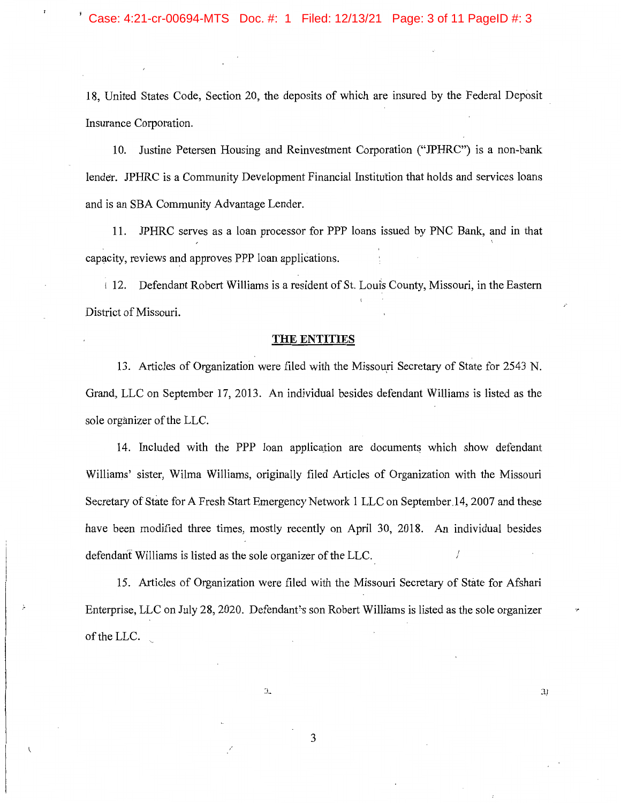18, United States Code, Section 20, the deposits of which are insured by the Federal Deposit Insurance Corporation.

10. Justine Petersen Housing and Reinvestment Corporation ("JPHRC") is a non-bank lender. JPHRC is a Community Development Financial Institution that holds and services loans and is an SBA Community Advantage Lender.

11. JPHRC serves as a loan processor for PPP loans issued by PNC Bank, and in that capacity, reviews and approves PPP loan applications.

112. Defendant Robert Williams is a resident of St. Louis County, Missouri, in the Eastern District of Missouri.

#### **THE ENTITIES**

13. Articles of Organization were filed with the Missouri Secretary of State for 2543 N. Grand, LLC on September 17, 2013. An individual besides defendant Williams is listed as the sole organizer of the LLC.

14. Included with the PPP loan application are documents which show defendant Williams' sister, Wilma Williams, originally filed Articles of Organization with the Missouri Secretary of State for A Fresh Start Emergency Network 1 LLC on September,14, 2007 and these have been modified three times, mostly recently on April 30, 2018. An individual besides defendant Williams is listed as the sole organizer of the LLC.

15. Articles of Organization were filed with the Missouri Secretary of State for Afshari Enterprise, LLC on July 28, 2020. Defendant's son Robert Williams is listed as the sole organizer of the LLC.

3

 $\mathfrak{I}$ 

 $\mathfrak{D}$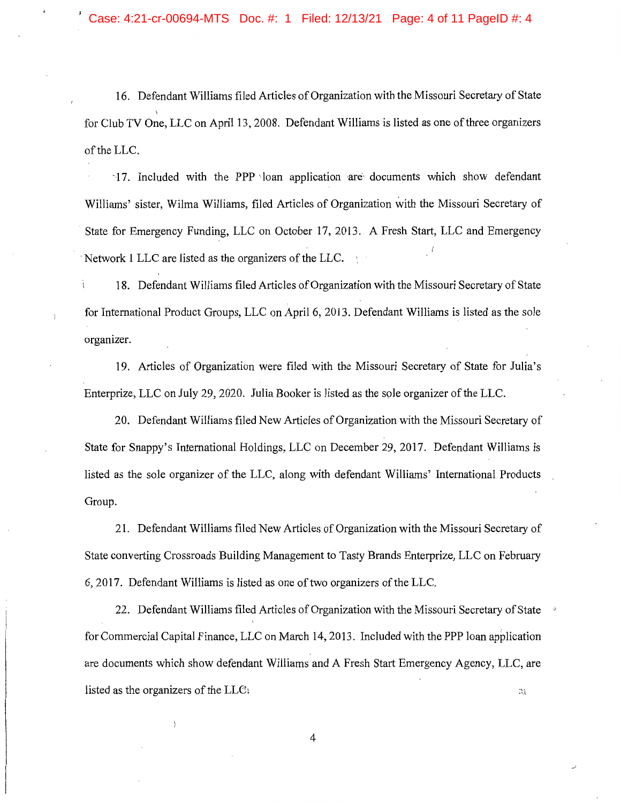16. Defendant Williams filed Articles of Organization with the Missouri Secretary of State for Club TV One, LLC on April 13, 2008. Defendant Williams is listed as one of three organizers of the LLC.

17. Included with the PPP loan application are documents which show defendant Williams' sister, Wilma Williams, filed Articles of Organization with the Missouri Secretary of State for Emergency Funding, LLC on October 17, 2013. A Fresh Start, LLC and Emergency Network 1 LLC are listed as the organizers of the LLC.

18. Defendant Williams filed Articles of Organization with the Missouri Secretary of State for International Product Groups, LLC on April 6, 2013. Defendant Williams is listed as the sole organizer.

19. Articles of Organization were filed with the Missouri Secretary of State for Julia's Enterprize, LLC on July 29, 2020. Julia Booker is listed as the sple organizer of the LLC.

20. Defendant Williams filed New Articles of Organization with the Missouri Secretary of State for Snappy's International Holdings, LLC on December 29, 2017. Defendant Williams is listed as the sole organizer of the LLC, along with defendant Williams' International Products Group.

21. Defendant Williams filed New Articles of Organization with the Missouri Secretary of State converting Crossroads Building Management to Tasty Brands Enterprize, LLC on February 6, 2017. Defendant Williams is listed as one of two organizers of the LLC.

22. Defendant Williams filed Articles of Organization with the Missouri Secretary of State for Commercial Capital Finance, LLC on March 14, 2013. Included with the PPP loan application are documents which show defendant Williams and A Fresh Start Emergency Agency, LLC, are listed as the organizers of the LLC:  $\mathfrak{A}$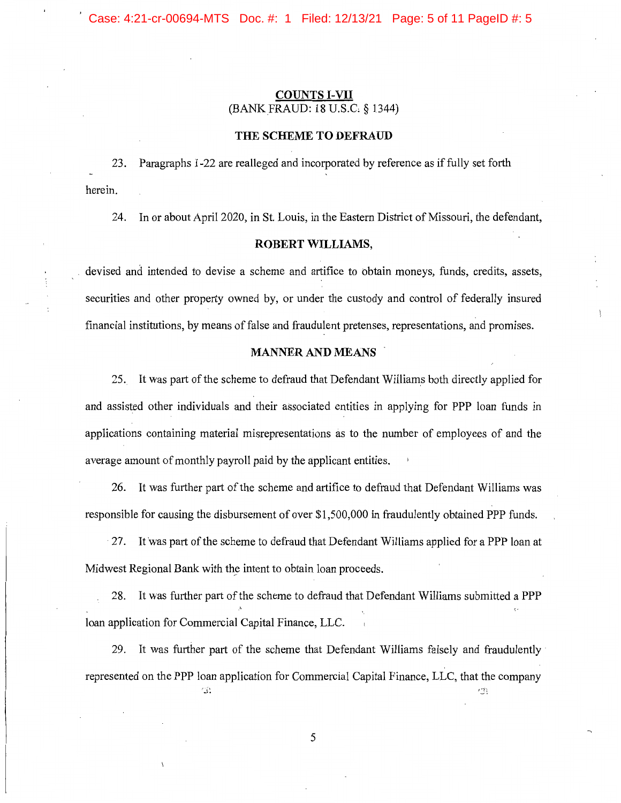## **COUNTS I-VII**  (BANK FRAUD: 18 U.S.C § 1344)

## **THE SCHEME TO DEFRAUD**

23. Paragraphs 1-22 are realleged and incorporated by reference as if fully set forth herein.

24. In or about April 2020, in St. Louis, in the Eastern District of Missouri, the defendant,

#### **ROBERT WILLIAMS,**

devised and intended to devise a scheme and artifice to obtain moneys, funds, credits, assets, securities and other property owned by, or under the custody and control of federally insured financial institutions, by means of false and fraudulent pretenses, representations, and promises.

## **MANNER AND MEANS**

25. It was part of the scheme to defraud that Defendant Williams both directly applied for and assisted other individuals and their associated entities in applying for PPP loan funds in applications containing material misrepresentations as to the number of employees of and the average amount of monthly payroll paid by the applicant entities.

26. It was further part of the scheme and artifice to defraud that Defendant Williams was responsible for causing the disbursement of over \$1,500,000 in fraudulently obtained PPP funds.

27. It was part of the scheme to defraud that Defendant Williams applied for a PPP loan at Midwest Regional Bank with the intent to obtain loan proceeds.

28. It was further part of the scheme to defraud that Defendant Williams submitted a PPP loan application for Commercial Capital Finance, LLC.

29. It was further part of the scheme that Defendant Williams falsely and fraudulently· represented on the PPP loan application for Commercial Capital Finance, LLC, that the company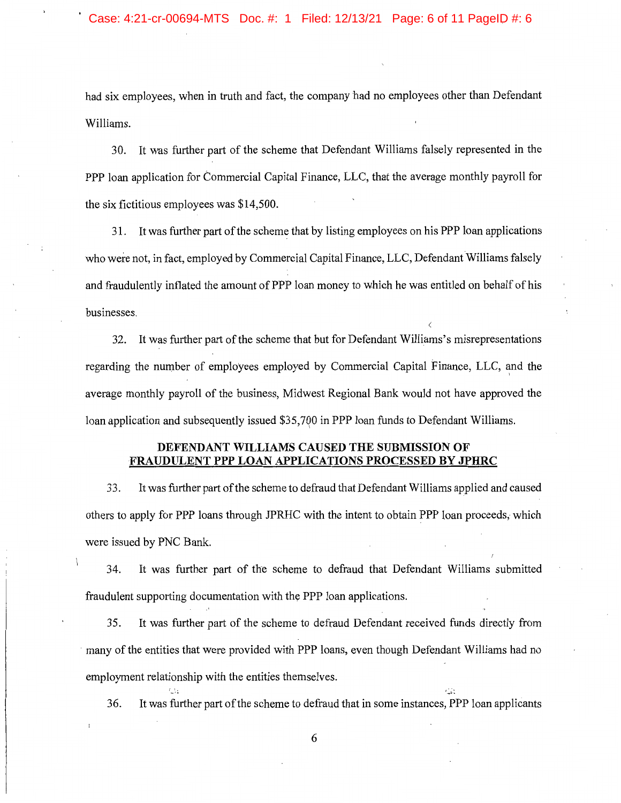had six employees, when in truth and fact, the company had no employees other than Defendant Williams.

30. It was further part of the scheme that Defendant Williams falsely represented in the PPP loan application for Commercial Capital Finance, LLC, that the average monthly payroll for the six fictitious employees was \$14,500.

31. It was further part of the scheme that by listing employees on his PPP loan applications who were not, in fact, employed by Commercial Capital Finance, LLC, Defendant Williams falsely and fraudulently inflated the amount of PPP loan money to which he was entitled on behalf of his businesses.

*(* 

32. It was further part of the scheme that but for Defendant Williams's misrepresentations regarding the number of employees employed by Commercial Capital Finance, LLC, and the \ average monthly payroll of the business, Midwest Regional Bank would not have approved the loan application and subsequently issued \$35,7Q0 in PPP loan funds to Defendant Williams.

## **DEFENDANT WILLIAMS CAUSED THE SUBMISSION OF FRAUDULENT PPP LOAN APPLICATIONS PROCESSED BY JPHRC**

33. It was further part of the scheme to defraud that Defendant Williams applied and caused others to apply for PPP loans through JPRHC with the intent to obtain PPP loan proceeds, which were issued by PNC Bank.

34. It was further part of the scheme to defraud that Defendant Williams submitted fraudulent supporting documentation with the PPP loan applications.

35. It was further part of the scheme to defraud Defendant received funds directly from many of the entities that were provided with PPP loans, even though Defendant Williams had no employment relationship with the entities themselves.

36. It was further part of the scheme to defraud that in some instances, PPP loan applicants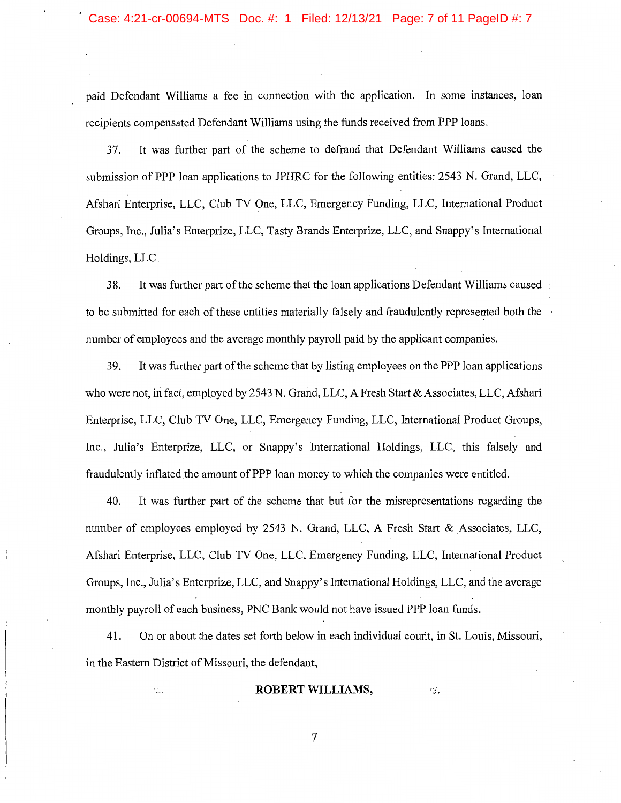paid Defendant Williams a fee in connection with the application. In some instances, loan recipients compensated Defendant Williams using the funds received from PPP loans.

37. It was further part of the scheme to defraud that Defendant Williams caused the submission of PPP loan applications to JPHRC for the following entities: 2543 N. Grand, LLC, Afshari Enterprise, LLC, Club TV One, LLC, Emergency Funding, LLC, International Product Groups, Inc., Julia's Enterprize, LLC, Tasty Brands Enterprize, LLC, and Snappy's International Holdings, LLC.

38. It was further part of the scheme that the loan applications Defendant Williams caused to be submitted for each of these entities materially falsely and fraudulently represented both the number of employees and the average monthly payroll paid by the applicant companies.

39. It was further part of the scheme that by listing employees on the PPP loan applications who were not, in fact, employed by 2543 N. Grand, LLC, A Fresh Start & Associates, LLC, Afshari Enterprise, LLC, Club TV One, LLC, Emergency Funding, LLC, International Product Groups, Inc., Julia's Enterprize, LLC, or Snappy's International Holdings, LLC, this falsely and fraudulently inflated the amount of PPP loan money to which the companies were entitled.

40. It was further part of the scheme that but for the misrepresentations regarding the number of employees employed by 2543 N. Grand, LLC, A Fresh Start & Associates, LLC, Afshari Enterprise, LLC, Club TV One, LLC, Emergency Funding, LLC, International Product Groups, Inc., Julia's Enterprize, LLC, and Snappy's International Holdings, LLC, and the average monthly payroll of eaeh business, PNC Bank would not have issued PPP loan funds.

41. On or about the dates set forth below in each individual courit, in St. Louis, Missouri, in the Eastern District of Missouri, the defendant,

#### **ROBERT WILLIAMS,**  $\otimes$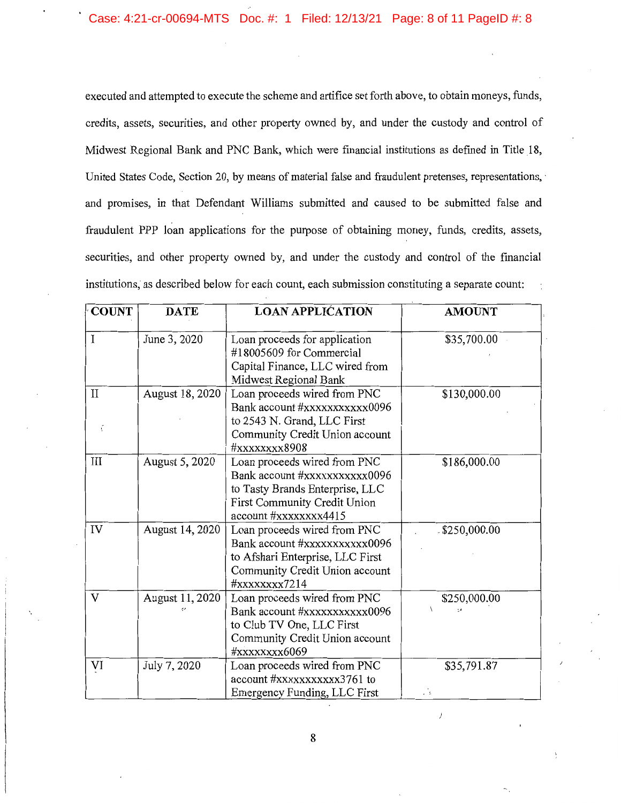executed and attempted to execute the scheme and artifice set forth above, to obtain moneys, funds, credits, assets, securities, and other property owned by, and under the custody and control of Midwest Regional Bank and PNC Bank, which were financial institutions as defmed in Title 18, United States Code, Section 20, by means of material false and fraudulent pretenses, representations, ' and promises, in that Defendant Williams submitted and caused to be submitted false and fraudulent PPP loan applications for the purpose of obtaining money, funds, credits, assets, securities, and other property owned by, and under the custody and control of the financial institutions, as described below for each count, each submission constituting a separate count:

| <b>COUNT</b> | <b>DATE</b>     | <b>LOAN APPLICATION</b>                                                                                                                                    | <b>AMOUNT</b>      |
|--------------|-----------------|------------------------------------------------------------------------------------------------------------------------------------------------------------|--------------------|
| I            | June 3, 2020    | Loan proceeds for application<br>#18005609 for Commercial<br>Capital Finance, LLC wired from<br>Midwest Regional Bank                                      | \$35,700.00        |
| $\rm II$     | August 18, 2020 | Loan proceeds wired from PNC<br>Bank account #xxxxxxxxxxx0096<br>to 2543 N. Grand, LLC First<br>Community Credit Union account<br>#xxxxxxxx8908            | \$130,000.00       |
| III          | August 5, 2020  | Loan proceeds wired from PNC<br>Bank account #xxxxxxxxxxxx0096<br>to Tasty Brands Enterprise, LLC<br>First Community Credit Union<br>account #xxxxxxxx4415 | \$186,000.00       |
| IV           | August 14, 2020 | Loan proceeds wired from PNC<br>Bank account #xxxxxxxxxxx0096<br>to Afshari Enterprise, LLC First<br>Community Credit Union account<br>#xxxxxxxx7214       | $.$ \$250,000.00   |
| $\mathbf{V}$ | August 11, 2020 | Loan proceeds wired from PNC<br>Bank account #xxxxxxxxxxx0096<br>to Club TV One, LLC First<br>Community Credit Union account<br>#xxxxxxxx6069              | \$250,000.00       |
| VI           | July 7, 2020    | Loan proceeds wired from PNC<br>account #xxxxxxxxxxx3761 to<br>Emergency Funding, LLC First                                                                | \$35,791.87<br>ИŻ. |

 $\,$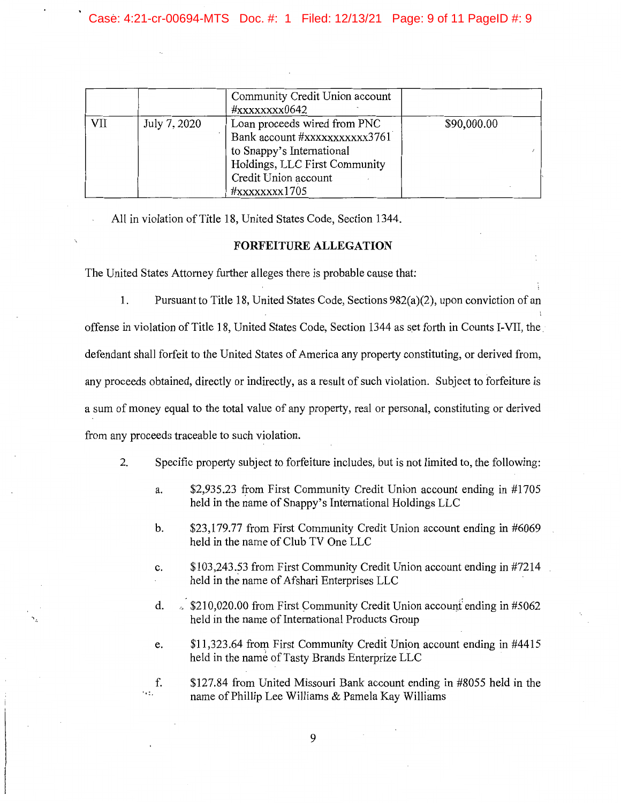## Case: 4:21-cr-00694-MTS Doc. #: 1 Filed: 12/13/21 Page: 9 of 11 PageID #: 9

|     |              | Community Credit Union account<br>#xxxxxxxx0642                                                                                                                      |             |
|-----|--------------|----------------------------------------------------------------------------------------------------------------------------------------------------------------------|-------------|
| VII | July 7, 2020 | Loan proceeds wired from PNC<br>Bank account #xxxxxxxxxxx3761<br>to Snappy's International<br>Holdings, LLC First Community<br>Credit Union account<br>#xxxxxxxx1705 | \$90,000.00 |

All in violation of Title 18, United States Code, Section 1344.

## **FORFEITURE ALLEGATION**

The United States Attorney further alleges there is probable cause that:

1. Pursuant to Title 18, United States Code, Sections  $982(a)(2)$ , upon conviction of an offense in violation of Title 18, United States Code, Section 1344 as set forth in Counts I-VII, the. defendant shall forfeit to the United States of America any property constituting, or derived from, any proceeds obtained, directly or indirectly, as a result of such violation. Subject to forfeiture is a sum of money equal to the total value of any property, real or personal, constituting or derived from any proceeds traceable to such violation.

- 2. Specific property subject to forfeiture includes, but is not limited to, the following:
	- a. \$2,935.23 from First Community Credit Union account ending in #1705 held in the name of Snappy's International Holdings LLC
	- b. \$23,179.77 from First Community Credit Union account ending in #6069 held in the name of Club TV One LLC
	- c. \$103,243.53 from First Community Credit Union account ending in #7214 held in the name of Afshari Enterprises LLC
	- d.  $\sqrt{210,020.00}$  from First Community Credit Union account ending in #5062 held in the name of International Products Group
	- e. \$11,323.64 from First Community Credit Union account ending in #4415 held in the name of Tasty Brands Enterprize LLC

1,:, f. \$127.84 from United Missouri Bank account ending in #8055 held in the name of Phillip Lee Williams & Pamela Kay Williams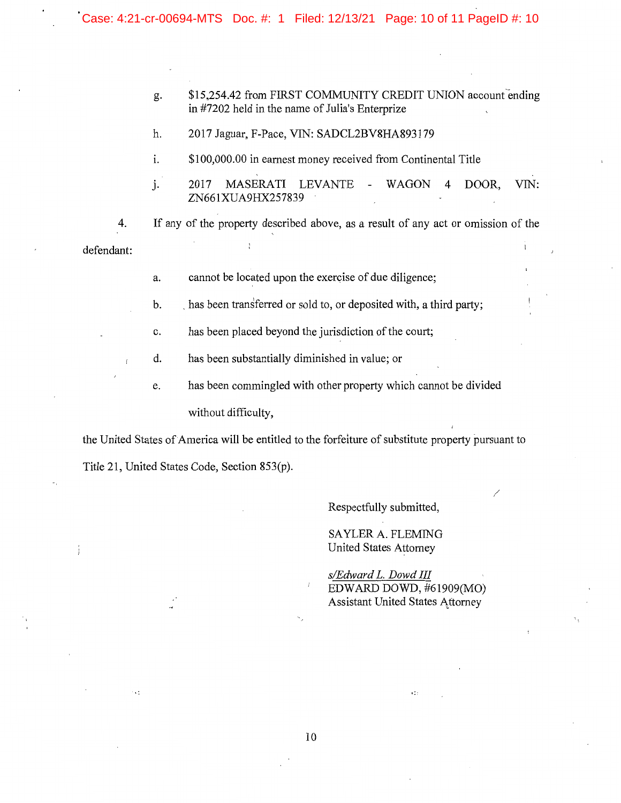- g. \$15,254.42 from FIRST COMMUNITY CREDIT UNION account ending in #7202 held in the name of Julia's Enterprize
- h. 2017 Jaguar, F-Pace, VIN: SADCL2BV8HA893179
- i.  $$100,000.00$  in earnest money received from Continental Title
- j. 2017 MASERATI LEVANTE WAGON 4 DOOR, VIN: ZN661 XUA9HX257839

4. If any of the property described above, as a result of any act or omission of the defendant:

- a. cannot be located upon the exercise of due diligence;
- b. has been transferred or sold to, or deposited with, a third party;
- c. has been placed beyond the jurisdiction of the court;
- d. has been substantially diminished in value; or
- e. has been commingled with other property which cannot be divided without difficulty,

the United States of America will be entitled to the forfeiture of substitute property pursuant to Title 21, United States Code, Section 853(p).

Respectfully submitted,

SAYLER A. FLEMING United States Attorney

*s/Edward L. Dowd III*  EDWARD DOWD, #61909(MO) Assistant United States Attorney

 $\epsilon$  :

/

 $\cdot$